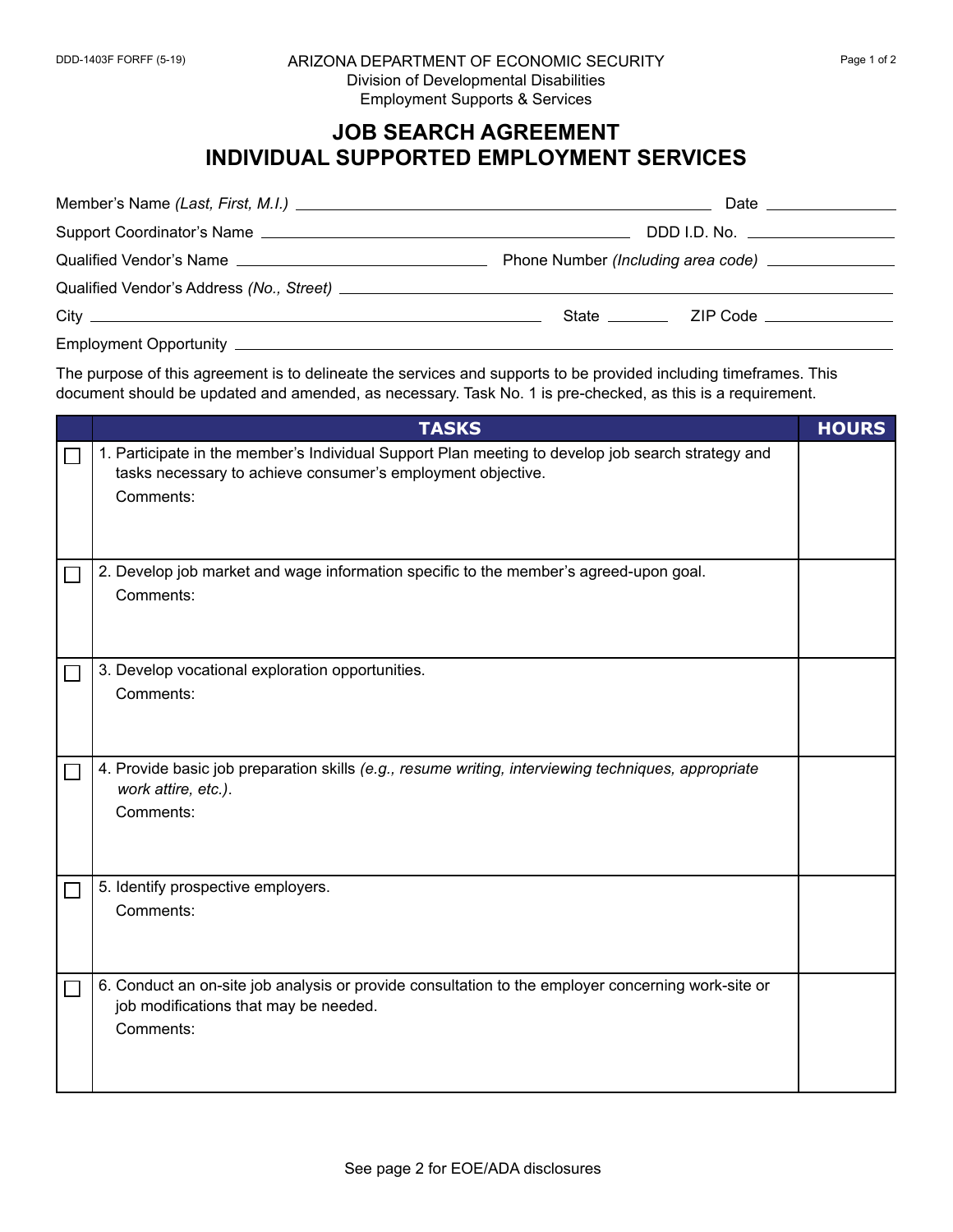## **JOB SEARCH AGREEMENT INDIVIDUAL SUPPORTED EMPLOYMENT SERVICES**

| Date <u>the series of</u> the series of the series of the series of the series of the series of the series of the series |
|--------------------------------------------------------------------------------------------------------------------------|
| DDD I.D. No. _________________                                                                                           |
|                                                                                                                          |
|                                                                                                                          |
|                                                                                                                          |
|                                                                                                                          |

The purpose of this agreement is to delineate the services and supports to be provided including timeframes. This document should be updated and amended, as necessary. Task No. 1 is pre-checked, as this is a requirement.

| <b>TASKS</b>                                                                                                                                                                  | <b>HOURS</b> |
|-------------------------------------------------------------------------------------------------------------------------------------------------------------------------------|--------------|
| 1. Participate in the member's Individual Support Plan meeting to develop job search strategy and<br>tasks necessary to achieve consumer's employment objective.<br>Comments: |              |
| 2. Develop job market and wage information specific to the member's agreed-upon goal.<br>Comments:                                                                            |              |
| 3. Develop vocational exploration opportunities.<br>Comments:                                                                                                                 |              |
| 4. Provide basic job preparation skills (e.g., resume writing, interviewing techniques, appropriate<br>work attire, etc.).<br>Comments:                                       |              |
| 5. Identify prospective employers.<br>Comments:                                                                                                                               |              |
| 6. Conduct an on-site job analysis or provide consultation to the employer concerning work-site or<br>job modifications that may be needed.<br>Comments:                      |              |